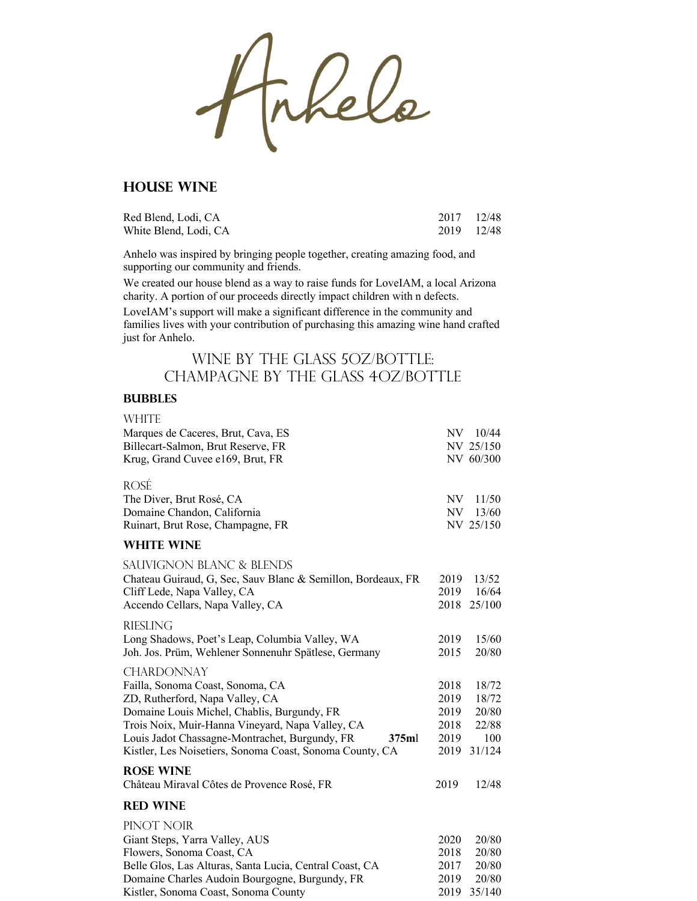Frkels

### **House Wine**

| Red Blend, Lodi, CA   | 2017 12/48 |  |
|-----------------------|------------|--|
| White Blend, Lodi, CA | 2019 12/48 |  |

Anhelo was inspired by bringing people together, creating amazing food, and supporting our community and friends.

We created our house blend as a way to raise funds for LoveIAM, a local Arizona charity. A portion of our proceeds directly impact children with n defects.

LoveIAM's support will make a significant difference in the community and families lives with your contribution of purchasing this amazing wine hand crafted just for Anhelo.

## WINE BY THE GLASS 5OZ/BOTTLE: Champagne By The Glass 4OZ/Bottle

#### **Bubbles**

| <b>WHITE</b>                                                                                                                                                           |              |                               |
|------------------------------------------------------------------------------------------------------------------------------------------------------------------------|--------------|-------------------------------|
| Marques de Caceres, Brut, Cava, ES                                                                                                                                     |              | NV 10/44                      |
| Billecart-Salmon, Brut Reserve, FR                                                                                                                                     |              | NV 25/150                     |
| Krug, Grand Cuvee e169, Brut, FR                                                                                                                                       |              | NV 60/300                     |
| <b>ROSÉ</b><br>The Diver, Brut Rosé, CA<br>Domaine Chandon, California<br>Ruinart, Brut Rose, Champagne, FR                                                            | NV.<br>NV.   | 11/50<br>13/60<br>NV 25/150   |
| <b>WHITE WINE</b>                                                                                                                                                      |              |                               |
| <b>SAUVIGNON BLANC &amp; BLENDS</b><br>Chateau Guiraud, G, Sec, Sauv Blanc & Semillon, Bordeaux, FR<br>Cliff Lede, Napa Valley, CA<br>Accendo Cellars, Napa Valley, CA | 2019<br>2019 | 13/52<br>16/64<br>2018 25/100 |
| <b>RIESLING</b>                                                                                                                                                        |              |                               |
| Long Shadows, Poet's Leap, Columbia Valley, WA                                                                                                                         | 2019         | 15/60                         |
| Joh. Jos. Prüm, Wehlener Sonnenuhr Spätlese, Germany                                                                                                                   | 2015         | 20/80                         |
| <b>CHARDONNAY</b>                                                                                                                                                      |              |                               |
| Failla, Sonoma Coast, Sonoma, CA                                                                                                                                       | 2018         | 18/72                         |
| ZD, Rutherford, Napa Valley, CA<br>Domaine Louis Michel, Chablis, Burgundy, FR                                                                                         | 2019<br>2019 | 18/72<br>20/80                |
| Trois Noix, Muir-Hanna Vineyard, Napa Valley, CA                                                                                                                       | 2018         | 22/88                         |
| Louis Jadot Chassagne-Montrachet, Burgundy, FR<br>375ml                                                                                                                | 2019         | 100                           |
| Kistler, Les Noisetiers, Sonoma Coast, Sonoma County, CA                                                                                                               | 2019         | 31/124                        |
| <b>ROSE WINE</b>                                                                                                                                                       |              |                               |
| Château Miraval Côtes de Provence Rosé, FR                                                                                                                             | 2019         | 12/48                         |
| <b>RED WINE</b>                                                                                                                                                        |              |                               |
| PINOT NOIR                                                                                                                                                             |              |                               |
| Giant Steps, Yarra Valley, AUS                                                                                                                                         | 2020         | 20/80                         |
| Flowers, Sonoma Coast, CA                                                                                                                                              | 2018         | 20/80                         |
| Belle Glos, Las Alturas, Santa Lucia, Central Coast, CA                                                                                                                | 2017         | 20/80                         |
| Domaine Charles Audoin Bourgogne, Burgundy, FR                                                                                                                         | 2019         | 20/80                         |
| Kistler, Sonoma Coast, Sonoma County                                                                                                                                   | 2019         | 35/140                        |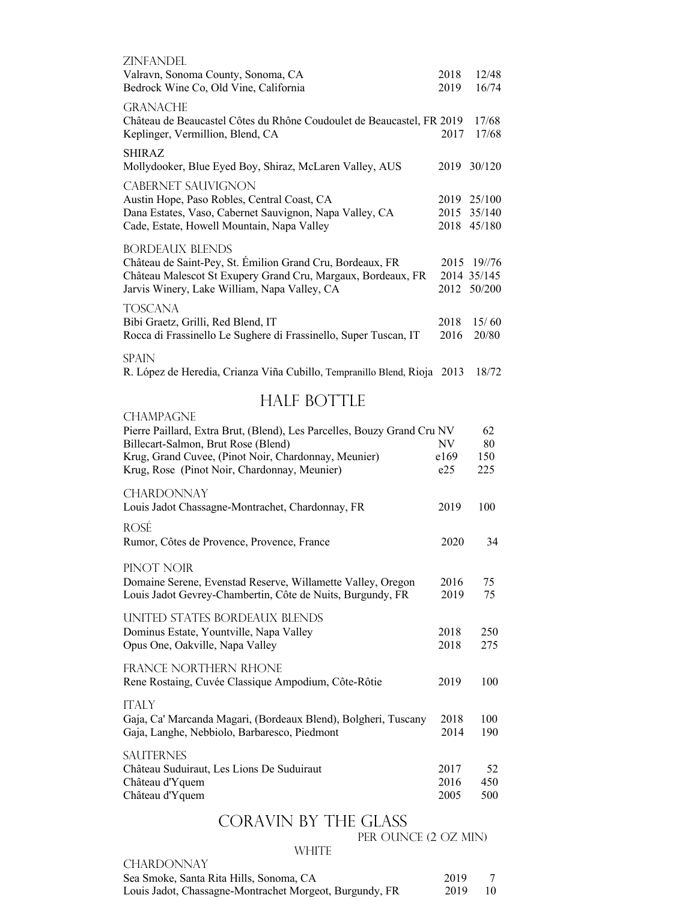| <b>ZINFANDEL</b>                                                         |      |             |
|--------------------------------------------------------------------------|------|-------------|
| Valravn, Sonoma County, Sonoma, CA                                       | 2018 | 12/48       |
| Bedrock Wine Co, Old Vine, California                                    | 2019 | 16/74       |
| <b>GRANACHE</b>                                                          |      |             |
| Château de Beaucastel Côtes du Rhône Coudoulet de Beaucastel, FR 2019    |      | 17/68       |
| Keplinger, Vermillion, Blend, CA                                         | 2017 | 17/68       |
| <b>SHIRAZ</b>                                                            |      |             |
| Mollydooker, Blue Eyed Boy, Shiraz, McLaren Valley, AUS                  | 2019 | 30/120      |
| <b>CABERNET SAUVIGNON</b>                                                |      |             |
| Austin Hope, Paso Robles, Central Coast, CA                              | 2019 | 25/100      |
| Dana Estates, Vaso, Cabernet Sauvignon, Napa Valley, CA                  | 2015 | 35/140      |
| Cade, Estate, Howell Mountain, Napa Valley                               | 2018 | 45/180      |
| <b>BORDEAUX BLENDS</b>                                                   |      |             |
| Château de Saint-Pey, St. Émilion Grand Cru, Bordeaux, FR                | 2015 | 19//76      |
| Château Malescot St Exupery Grand Cru, Margaux, Bordeaux, FR             |      | 2014 35/145 |
| Jarvis Winery, Lake William, Napa Valley, CA                             | 2012 | 50/200      |
| TOSCANA                                                                  |      |             |
| Bibi Graetz, Grilli, Red Blend, IT                                       | 2018 | 15/60       |
| Rocca di Frassinello Le Sughere di Frassinello, Super Tuscan, IT         | 2016 | 20/80       |
| <b>SPAIN</b>                                                             |      |             |
| R. López de Heredia, Crianza Viña Cubillo, Tempranillo Blend, Rioja 2013 |      | 18/72       |
|                                                                          |      |             |
| <b>HALF BOTTLE</b>                                                       |      |             |
| <b>CHAMPAGNE</b>                                                         |      |             |
| Pierre Paillard, Extra Brut, (Blend), Les Parcelles, Bouzy Grand Cru NV  |      | 62          |
| Billecart-Salmon, Brut Rose (Blend)                                      | NV   | 80          |
| Krug, Grand Cuvee, (Pinot Noir, Chardonnay, Meunier)                     | e169 | 150         |
| Krug, Rose (Pinot Noir, Chardonnay, Meunier)                             | e25  | 225         |
| <b>CHARDONNAY</b>                                                        |      |             |
| Louis Jadot Chassagne-Montrachet, Chardonnay, FR                         | 2019 | 100         |
| rosé                                                                     |      |             |
| Rumor, Côtes de Provence, Provence, France                               | 2020 | 34          |
|                                                                          |      |             |
|                                                                          |      |             |

PINOT NOIR

| Domaine Serene, Evenstad Reserve, Willamette Valley, Oregon | 2016 | 75 |
|-------------------------------------------------------------|------|----|
| Louis Jadot Gevrey-Chambertin, Côte de Nuits, Burgundy, FR  | 2019 | 75 |
| IB WEED AFLIERA BOBDE LIBI BLEVIDA                          |      |    |

United States Bordeaux Blends Dominus Estate, Yountville, Napa Valley 2018 250<br>
Opus One, Oakville, Napa Valley 2018 275 Opus One, Oakville, Napa Valley France Northern Rhone Rene Rostaing, Cuvée Classique Ampodium, Côte-Rôtie 2019 100 **ITALY** Gaja, Ca' Marcanda Magari, (Bordeaux Blend), Bolgheri, Tuscany 2018 100 Gaja, Langhe, Nebbiolo, Barbaresco, Piedmont **SAUTERNES** 

| Château Suduiraut, Les Lions De Suduiraut | 2017 | 52   |
|-------------------------------------------|------|------|
| Château d'Yquem                           | 2016 | -450 |
| Château d'Yquem                           | 2005 | -500 |

# CORAVIN BY THE GLASS<br>PER OUNCE (2 OZ MIN)

| <b>WHITE</b>                                            |      |    |
|---------------------------------------------------------|------|----|
| CHARDONNAY                                              |      |    |
| Sea Smoke, Santa Rita Hills, Sonoma, CA                 | 2019 |    |
| Louis Jadot, Chassagne-Montrachet Morgeot, Burgundy, FR | 2019 | 10 |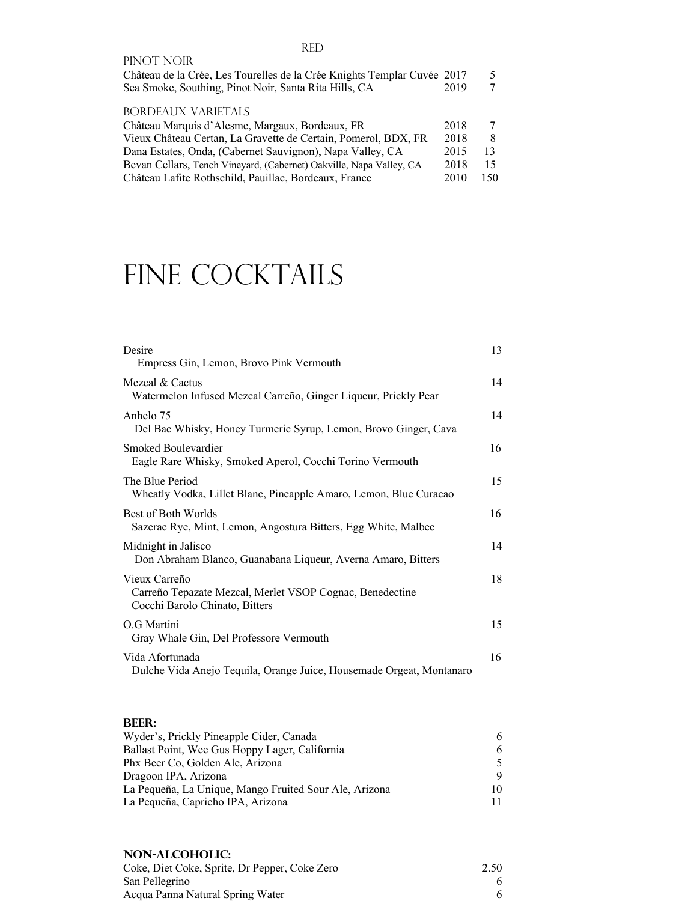| PINOT NOIR                                                              |      |     |
|-------------------------------------------------------------------------|------|-----|
| Château de la Crée, Les Tourelles de la Crée Knights Templar Cuvée 2017 |      | 5   |
| Sea Smoke, Southing, Pinot Noir, Santa Rita Hills, CA                   | 2019 |     |
| BORDEAUX VARIETALS                                                      |      |     |
| Château Marquis d'Alesme, Margaux, Bordeaux, FR                         | 2018 | 7   |
| Vieux Château Certan, La Gravette de Certain, Pomerol, BDX, FR          | 2018 | 8   |
| Dana Estates, Onda, (Cabernet Sauvignon), Napa Valley, CA               | 2015 | 13  |
| Bevan Cellars, Tench Vineyard, (Cabernet) Oakville, Napa Valley, CA     | 2018 | 15  |
| Château Lafite Rothschild, Pauillac, Bordeaux, France                   | 2010 | 150 |

# FINE COCKTAILS

| Desire<br>Empress Gin, Lemon, Brovo Pink Vermouth                                                           | 13 |
|-------------------------------------------------------------------------------------------------------------|----|
| Mezcal & Cactus<br>Watermelon Infused Mezcal Carreño, Ginger Liqueur, Prickly Pear                          | 14 |
| Anhelo 75<br>Del Bac Whisky, Honey Turmeric Syrup, Lemon, Brovo Ginger, Cava                                | 14 |
| Smoked Boulevardier<br>Eagle Rare Whisky, Smoked Aperol, Cocchi Torino Vermouth                             | 16 |
| The Blue Period<br>Wheatly Vodka, Lillet Blanc, Pineapple Amaro, Lemon, Blue Curacao                        | 15 |
| Best of Both Worlds<br>Sazerac Rye, Mint, Lemon, Angostura Bitters, Egg White, Malbec                       | 16 |
| Midnight in Jalisco<br>Don Abraham Blanco, Guanabana Liqueur, Averna Amaro, Bitters                         | 14 |
| Vieux Carreño<br>Carreño Tepazate Mezcal, Merlet VSOP Cognac, Benedectine<br>Cocchi Barolo Chinato, Bitters | 18 |
| O.G Martini<br>Gray Whale Gin, Del Professore Vermouth                                                      | 15 |
| Vida Afortunada<br>Dulche Vida Anejo Tequila, Orange Juice, Housemade Orgeat, Montanaro                     | 16 |

#### **Beer:**

| Wyder's, Prickly Pineapple Cider, Canada               |    |
|--------------------------------------------------------|----|
| Ballast Point, Wee Gus Hoppy Lager, California         |    |
| Phx Beer Co, Golden Ale, Arizona                       |    |
| Dragoon IPA, Arizona                                   |    |
| La Pequeña, La Unique, Mango Fruited Sour Ale, Arizona | 10 |
| La Pequeña, Capricho IPA, Arizona                      |    |
|                                                        |    |

### **Non-Alcoholic:**

| Coke, Diet Coke, Sprite, Dr Pepper, Coke Zero | 2.50 |
|-----------------------------------------------|------|
| San Pellegrino                                |      |
| Acqua Panna Natural Spring Water              |      |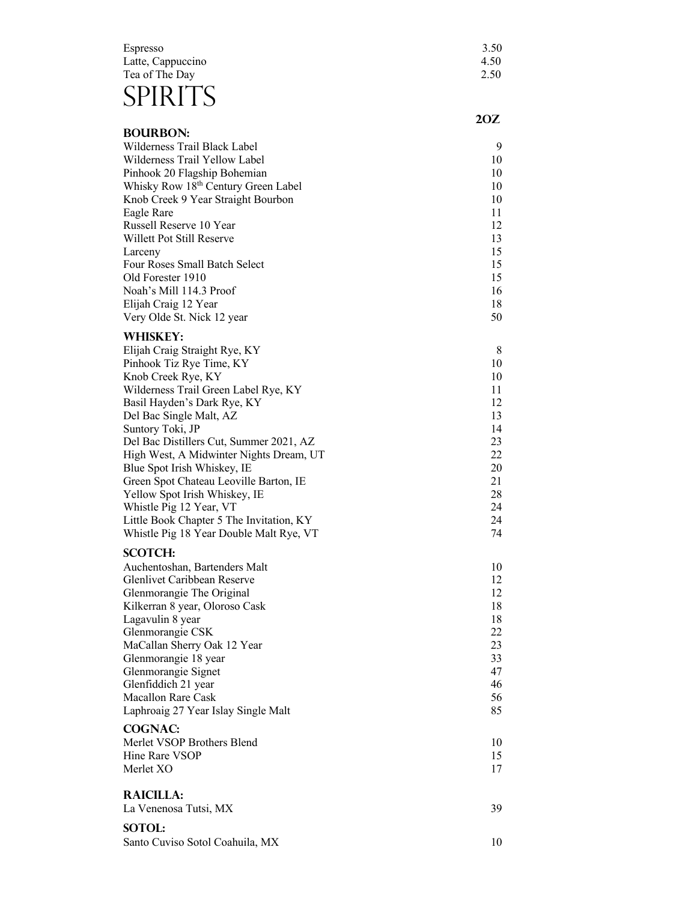## Espresso 3.50 Latte, Cappuccino 4.50 Tea of The Day 2.50 SPIRITS

|                                                                                     | 2OZ      |
|-------------------------------------------------------------------------------------|----------|
| <b>BOURBON:</b>                                                                     |          |
| Wilderness Trail Black Label                                                        | 9        |
| Wilderness Trail Yellow Label                                                       | 10       |
| Pinhook 20 Flagship Bohemian<br>Whisky Row 18th Century Green Label                 | 10<br>10 |
| Knob Creek 9 Year Straight Bourbon                                                  | 10       |
| Eagle Rare                                                                          | 11       |
| Russell Reserve 10 Year                                                             | 12       |
| Willett Pot Still Reserve                                                           | 13       |
| Larceny                                                                             | 15       |
| Four Roses Small Batch Select                                                       | 15       |
| Old Forester 1910                                                                   | 15       |
| Noah's Mill 114.3 Proof                                                             | 16       |
| Elijah Craig 12 Year                                                                | 18       |
| Very Olde St. Nick 12 year                                                          | 50       |
| <b>WHISKEY:</b>                                                                     |          |
| Elijah Craig Straight Rye, KY                                                       | 8        |
| Pinhook Tiz Rye Time, KY                                                            | 10       |
| Knob Creek Rye, KY                                                                  | 10       |
| Wilderness Trail Green Label Rye, KY<br>Basil Hayden's Dark Rye, KY                 | 11<br>12 |
| Del Bac Single Malt, AZ                                                             | 13       |
| Suntory Toki, JP                                                                    | 14       |
| Del Bac Distillers Cut, Summer 2021, AZ                                             | 23       |
| High West, A Midwinter Nights Dream, UT                                             | 22       |
| Blue Spot Irish Whiskey, IE                                                         | 20       |
| Green Spot Chateau Leoville Barton, IE                                              | 21       |
| Yellow Spot Irish Whiskey, IE                                                       | 28       |
| Whistle Pig 12 Year, VT                                                             | 24       |
| Little Book Chapter 5 The Invitation, KY<br>Whistle Pig 18 Year Double Malt Rye, VT | 24<br>74 |
|                                                                                     |          |
| <b>SCOTCH:</b>                                                                      |          |
| Auchentoshan, Bartenders Malt<br>Glenlivet Caribbean Reserve                        | 10<br>12 |
| Glenmorangie The Original                                                           | 12       |
| Kilkerran 8 year, Oloroso Cask                                                      | 18       |
| Lagavulin 8 year                                                                    | 18       |
| Glenmorangie CSK                                                                    | 22       |
| MaCallan Sherry Oak 12 Year                                                         | 23       |
| Glenmorangie 18 year                                                                | 33       |
| Glenmorangie Signet                                                                 | 47       |
| Glenfiddich 21 year                                                                 | 46       |
| Macallon Rare Cask                                                                  | 56       |
| Laphroaig 27 Year Islay Single Malt                                                 | 85       |
| <b>COGNAC:</b>                                                                      |          |
| Merlet VSOP Brothers Blend                                                          | 10       |
| Hine Rare VSOP<br>Merlet XO                                                         | 15<br>17 |
|                                                                                     |          |
| <b>RAICILLA:</b>                                                                    |          |
| La Venenosa Tutsi, MX                                                               | 39       |
|                                                                                     |          |

## **Sotol:**

Santo Cuviso Sotol Coahuila, M  $X$  and  $10$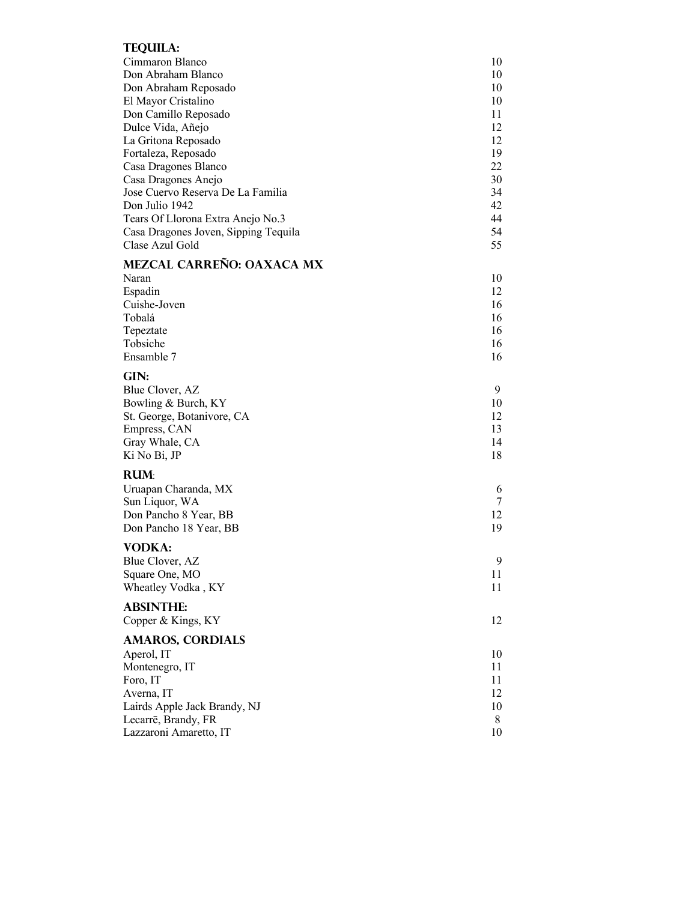### TEQUIL A.

| I EQUILA:                               |        |
|-----------------------------------------|--------|
| Cimmaron Blanco                         | 10     |
| Don Abraham Blanco                      | 10     |
| Don Abraham Reposado                    | 10     |
| El Mayor Cristalino                     | 10     |
| Don Camillo Reposado                    | 11     |
| Dulce Vida, Añejo                       | 12     |
| La Gritona Reposado                     | 12     |
| Fortaleza, Reposado                     | 19     |
| Casa Dragones Blanco                    | 22     |
| Casa Dragones Anejo                     | 30     |
| Jose Cuervo Reserva De La Familia       | 34     |
| Don Julio 1942                          | 42     |
| Tears Of Llorona Extra Anejo No.3       | 44     |
| Casa Dragones Joven, Sipping Tequila    | 54     |
| Clase Azul Gold                         | 55     |
| MEZCAL CARREÑO: OAXACA MX               |        |
| Naran                                   | 10     |
| Espadin                                 | 12     |
| Cuishe-Joven                            | 16     |
| Tobalá                                  | 16     |
| Tepeztate                               | 16     |
| Tobsiche                                | 16     |
| Ensamble 7                              | 16     |
|                                         |        |
| GIN:                                    |        |
| Blue Clover, AZ                         | 9      |
| Bowling & Burch, KY                     | 10     |
| St. George, Botanivore, CA              | 12     |
| Empress, CAN                            | 13     |
| Gray Whale, CA                          | 14     |
| Ki No Bi, JP                            | 18     |
| <b>RUM</b>                              |        |
|                                         |        |
| Uruapan Charanda, MX                    | 6<br>7 |
| Sun Liquor, WA<br>Don Pancho 8 Year, BB | 12     |
| Don Pancho 18 Year, BB                  | 19     |
|                                         |        |
| <b>VODKA:</b>                           |        |
| Blue Clover, AZ                         | 9      |
| Square One, MO                          | 11     |
| Wheatley Vodka, KY                      | 11     |
| <b>ABSINTHE:</b>                        |        |
|                                         | 12     |
| Copper & Kings, KY                      |        |
| <b>AMAROS, CORDIALS</b>                 |        |
| Aperol, IT                              | 10     |
| Montenegro, IT                          | 11     |
| Foro, IT                                | 11     |
| Averna, IT                              | 12     |
| Lairds Apple Jack Brandy, NJ            | 10     |
| Lecarrē, Brandy, FR                     | 8      |
| Lazzaroni Amaretto, IT                  | 10     |